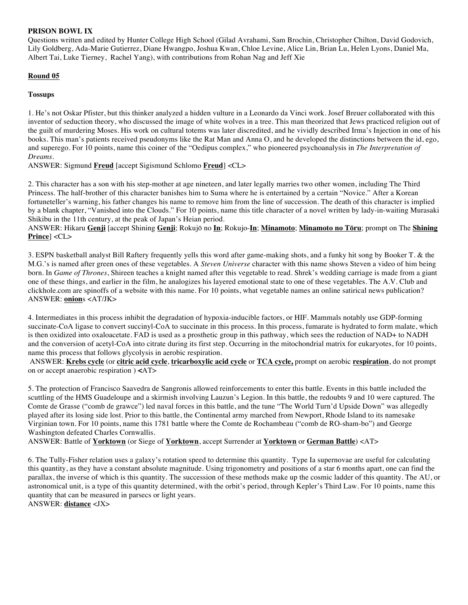### **PRISON BOWL IX**

Questions written and edited by Hunter College High School (Gilad Avrahami, Sam Brochin, Christopher Chilton, David Godovich, Lily Goldberg, Ada-Marie Gutierrez, Diane Hwangpo, Joshua Kwan, Chloe Levine, Alice Lin, Brian Lu, Helen Lyons, Daniel Ma, Albert Tai, Luke Tierney, Rachel Yang), with contributions from Rohan Nag and Jeff Xie

## **Round 05**

## **Tossups**

1. He's not Oskar Pfister, but this thinker analyzed a hidden vulture in a Leonardo da Vinci work. Josef Breuer collaborated with this inventor of seduction theory, who discussed the image of white wolves in a tree. This man theorized that Jews practiced religion out of the guilt of murdering Moses. His work on cultural totems was later discredited, and he vividly described Irma's Injection in one of his books. This man's patients received pseudonyms like the Rat Man and Anna O, and he developed the distinctions between the id, ego, and superego. For 10 points, name this coiner of the "Oedipus complex," who pioneered psychoanalysis in *The Interpretation of Dreams.*

ANSWER: Sigmund **Freud** [accept Sigismund Schlomo **Freud**] <CL>

2. This character has a son with his step-mother at age nineteen, and later legally marries two other women, including The Third Princess. The half-brother of this character banishes him to Suma where he is entertained by a certain "Novice." After a Korean fortuneteller's warning, his father changes his name to remove him from the line of succession. The death of this character is implied by a blank chapter, "Vanished into the Clouds." For 10 points, name this title character of a novel written by lady-in-waiting Murasaki Shikibu in the 11th century, at the peak of Japan's Heian period.

ANSWER: Hikaru **Genji** [accept Shining **Genji**; Rokujō no **In**; Rokujo-**In**; **Minamoto**; **Minamoto no Tōru**; prompt on The **Shining Prince**] <CL>

3. ESPN basketball analyst Bill Raftery frequently yells this word after game-making shots, and a funky hit song by Booker T. & the M.G.'s is named after green ones of these vegetables. A *Steven Universe* character with this name shows Steven a video of him being born. In *Game of Thrones*, Shireen teaches a knight named after this vegetable to read. Shrek's wedding carriage is made from a giant one of these things, and earlier in the film, he analogizes his layered emotional state to one of these vegetables. The A.V. Club and clickhole.com are spinoffs of a website with this name. For 10 points, what vegetable names an online satirical news publication? ANSWER: **onion**s <AT/JK>

4. Intermediates in this process inhibit the degradation of hypoxia-inducible factors, or HIF. Mammals notably use GDP-forming succinate-CoA ligase to convert succinyl-CoA to succinate in this process. In this process, fumarate is hydrated to form malate, which is then oxidized into oxaloacetate. FAD is used as a prosthetic group in this pathway, which sees the reduction of NAD+ to NADH and the conversion of acetyl-CoA into citrate during its first step. Occurring in the mitochondrial matrix for eukaryotes, for 10 points, name this process that follows glycolysis in aerobic respiration.

ANSWER: **Krebs cycle** (or **citric acid cycle**, **tricarboxylic acid cycle** or **TCA cycle,** prompt on aerobic **respiration**, do not prompt on or accept anaerobic respiration ) **<**AT>

5. The protection of Francisco Saavedra de Sangronis allowed reinforcements to enter this battle. Events in this battle included the scuttling of the HMS Guadeloupe and a skirmish involving Lauzun's Legion. In this battle, the redoubts 9 and 10 were captured. The Comte de Grasse ("comb de grawce") led naval forces in this battle, and the tune "The World Turn'd Upside Down" was allegedly played after its losing side lost. Prior to this battle, the Continental army marched from Newport, Rhode Island to its namesake Virginian town. For 10 points, name this 1781 battle where the Comte de Rochambeau ("comb de RO-sham-bo") and George Washington defeated Charles Cornwallis.

ANSWER: Battle of **Yorktown** (or Siege of **Yorktown**, accept Surrender at **Yorktown** or **German Battle**) <AT>

6. The Tully-Fisher relation uses a galaxy's rotation speed to determine this quantity. Type Ia supernovae are useful for calculating this quantity, as they have a constant absolute magnitude. Using trigonometry and positions of a star 6 months apart, one can find the parallax, the inverse of which is this quantity. The succession of these methods make up the cosmic ladder of this quantity. The AU, or astronomical unit, is a type of this quantity determined, with the orbit's period, through Kepler's Third Law. For 10 points, name this quantity that can be measured in parsecs or light years. ANSWER: **distance** <JX>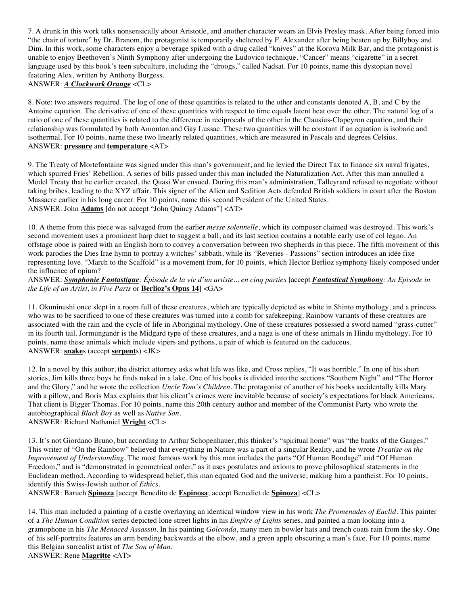7. A drunk in this work talks nonsensically about Aristotle, and another character wears an Elvis Presley mask. After being forced into "the chair of torture" by Dr. Branom, the protagonist is temporarily sheltered by F. Alexander after being beaten up by Billyboy and Dim. In this work, some characters enjoy a beverage spiked with a drug called "knives" at the Korova Milk Bar, and the protagonist is unable to enjoy Beethoven's Ninth Symphony after undergoing the Ludovico technique. "Cancer" means "cigarette" in a secret language used by this book's teen subculture, including the "droogs," called Nadsat. For 10 points, name this dystopian novel featuring Alex, written by Anthony Burgess. ANSWER: *A Clockwork Orange* <CL>

8. Note: two answers required. The log of one of these quantities is related to the other and constants denoted A, B, and C by the Antoine equation. The derivative of one of these quantities with respect to time equals latent heat over the other. The natural log of a ratio of one of these quantities is related to the difference in reciprocals of the other in the Clausius-Clapeyron equation, and their relationship was formulated by both Amonton and Gay Lussac. These two quantities will be constant if an equation is isobaric and isothermal. For 10 points, name these two linearly related quantities, which are measured in Pascals and degrees Celsius. ANSWER: **pressure** and **temperature** <AT>

9. The Treaty of Mortefontaine was signed under this man's government, and he levied the Direct Tax to finance six naval frigates, which spurred Fries' Rebellion. A series of bills passed under this man included the Naturalization Act. After this man annulled a Model Treaty that he earlier created, the Quasi War ensued. During this man's administration, Talleyrand refused to negotiate without taking bribes, leading to the XYZ affair. This signer of the Alien and Sedition Acts defended British soldiers in court after the Boston Massacre earlier in his long career. For 10 points, name this second President of the United States. ANSWER: John **Adams** [do not accept "John Quincy Adams"] <AT>

10. A theme from this piece was salvaged from the earlier *messe solennelle*, which its composer claimed was destroyed. This work's second movement uses a prominent harp duet to suggest a ball, and its last section contains a notable early use of col legno. An offstage oboe is paired with an English horn to convey a conversation between two shepherds in this piece. The fifth movement of this work parodies the Dies Irae hymn to portray a witches' sabbath, while its "Reveries - Passions" section introduces an idée fixe representing love. "March to the Scaffold" is a movement from, for 10 points, which Hector Berlioz symphony likely composed under the influence of opium?

ANSWER: *Symphonie Fantastique: Épisode de la vie d'un artiste... en cinq parties* [accept *Fantastical Symphony: An Episode in the Life of an Artist, in Five Parts* or **Berlioz's Opus 14**] <GA>

11. Okuninushi once slept in a room full of these creatures, which are typically depicted as white in Shinto mythology, and a princess who was to be sacrificed to one of these creatures was turned into a comb for safekeeping. Rainbow variants of these creatures are associated with the rain and the cycle of life in Aboriginal mythology. One of these creatures possessed a sword named "grass-cutter" in its fourth tail. Jormungandr is the Midgard type of these creatures, and a naga is one of these animals in Hindu mythology. For 10 points, name these animals which include vipers and pythons, a pair of which is featured on the caduceus. ANSWER: **snake**s (accept **serpent**s) <JK>

12. In a novel by this author, the district attorney asks what life was like, and Cross replies, "It was horrible." In one of his short stories, Jim kills three boys he finds naked in a lake. One of his books is divided into the sections "Southern Night" and "The Horror and the Glory," and he wrote the collection *Uncle Tom's Children*. The protagonist of another of his books accidentally kills Mary with a pillow, and Boris Max explains that his client's crimes were inevitable because of society's expectations for black Americans. That client is Bigger Thomas. For 10 points, name this 20th century author and member of the Communist Party who wrote the autobiographical *Black Boy* as well as *Native Son*. ANSWER: Richard Nathaniel **Wright** <CL>

13. It's not Giordano Bruno, but according to Arthur Schopenhauer, this thinker's "spiritual home" was "the banks of the Ganges." This writer of "On the Rainbow" believed that everything in Nature was a part of a singular Reality, and he wrote *Treatise on the Improvement of Understanding*. The most famous work by this man includes the parts "Of Human Bondage" and "Of Human Freedom," and is "demonstrated in geometrical order," as it uses postulates and axioms to prove philosophical statements in the Euclidean method. According to widespread belief, this man equated God and the universe, making him a pantheist. For 10 points, identify this Swiss-Jewish author of *Ethics*.

ANSWER: Baruch **Spinoza** [accept Benedito de **Espinosa**; accept Benedict de **Spinoza**] <CL>

14. This man included a painting of a castle overlaying an identical window view in his work *The Promenades of Euclid*. This painter of a *The Human Condition* series depicted lone street lights in his *Empire of Lights* series, and painted a man looking into a gramophone in his *The Menaced Assassin*. In his painting *Golconda*, many men in bowler hats and trench coats rain from the sky. One of his self-portraits features an arm bending backwards at the elbow, and a green apple obscuring a man's face. For 10 points, name this Belgian surrealist artist of *The Son of Man*. ANSWER: Rene **Magritte** <AT>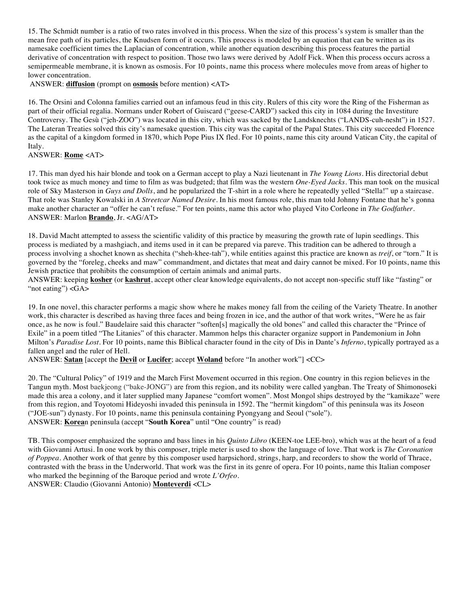15. The Schmidt number is a ratio of two rates involved in this process. When the size of this process's system is smaller than the mean free path of its particles, the Knudsen form of it occurs. This process is modeled by an equation that can be written as its namesake coefficient times the Laplacian of concentration, while another equation describing this process features the partial derivative of concentration with respect to position. Those two laws were derived by Adolf Fick. When this process occurs across a semipermeable membrane, it is known as osmosis. For 10 points, name this process where molecules move from areas of higher to lower concentration.

ANSWER: **diffusion** (prompt on **osmosis** before mention) <AT>

16. The Orsini and Colonna families carried out an infamous feud in this city. Rulers of this city wore the Ring of the Fisherman as part of their official regalia. Normans under Robert of Guiscard ("geese-CARD") sacked this city in 1084 during the Investiture Controversy. The Gesù ("jeh-ZOO") was located in this city, which was sacked by the Landsknechts ("LANDS-cuh-nesht") in 1527. The Lateran Treaties solved this city's namesake question. This city was the capital of the Papal States. This city succeeded Florence as the capital of a kingdom formed in 1870, which Pope Pius IX fled. For 10 points, name this city around Vatican City, the capital of Italy.

## ANSWER: **Rome** <AT>

17. This man dyed his hair blonde and took on a German accept to play a Nazi lieutenant in *The Young Lions*. His directorial debut took twice as much money and time to film as was budgeted; that film was the western *One-Eyed Jacks*. This man took on the musical role of Sky Masterson in *Guys and Dolls*, and he popularized the T-shirt in a role where he repeatedly yelled "Stella!" up a staircase. That role was Stanley Kowalski in *A Streetcar Named Desire*. In his most famous role, this man told Johnny Fontane that he's gonna make another character an "offer he can't refuse." For ten points, name this actor who played Vito Corleone in *The Godfather.* ANSWER: Marlon **Brando**, Jr. <AG/AT>

18. David Macht attempted to assess the scientific validity of this practice by measuring the growth rate of lupin seedlings. This process is mediated by a mashgiach, and items used in it can be prepared via pareve. This tradition can be adhered to through a process involving a shochet known as shechita ("sheh-khee-tah"), while entities against this practice are known as *treif*, or "torn." It is governed by the "foreleg, cheeks and maw" commandment, and dictates that meat and dairy cannot be mixed. For 10 points, name this Jewish practice that prohibits the consumption of certain animals and animal parts.

ANSWER: keeping **kosher** (or **kashrut**, accept other clear knowledge equivalents, do not accept non-specific stuff like "fasting" or "not eating") <GA>

19. In one novel, this character performs a magic show where he makes money fall from the ceiling of the Variety Theatre. In another work, this character is described as having three faces and being frozen in ice, and the author of that work writes, "Were he as fair once, as he now is foul." Baudelaire said this character "soften[s] magically the old bones" and called this character the "Prince of Exile" in a poem titled "The Litanies" of this character. Mammon helps this character organize support in Pandemonium in John Milton's *Paradise Lost*. For 10 points, name this Biblical character found in the city of Dis in Dante's *Inferno*, typically portrayed as a fallen angel and the ruler of Hell.

ANSWER: **Satan** [accept the **Devil** or **Lucifer**; accept **Woland** before "In another work"] <CC>

20. The "Cultural Policy" of 1919 and the March First Movement occurred in this region. One country in this region believes in the Tangun myth. Most baekjeong ("bake-JONG") are from this region, and its nobility were called yangban. The Treaty of Shimonoseki made this area a colony, and it later supplied many Japanese "comfort women". Most Mongol ships destroyed by the "kamikaze" were from this region, and Toyotomi Hideyoshi invaded this peninsula in 1592. The "hermit kingdom" of this peninsula was its Joseon ("JOE-sun") dynasty. For 10 points, name this peninsula containing Pyongyang and Seoul ("sole"). ANSWER: **Korea**n peninsula (accept "**South Korea**" until "One country" is read)

TB. This composer emphasized the soprano and bass lines in his *Quinto Libro* (KEEN-toe LEE-bro), which was at the heart of a feud with Giovanni Artusi. In one work by this composer, triple meter is used to show the language of love. That work is *The Coronation of Poppea*. Another work of that genre by this composer used harpsichord, strings, harp, and recorders to show the world of Thrace, contrasted with the brass in the Underworld. That work was the first in its genre of opera. For 10 points, name this Italian composer who marked the beginning of the Baroque period and wrote *L'Orfeo*. ANSWER: Claudio (Giovanni Antonio) **Monteverdi** <CL>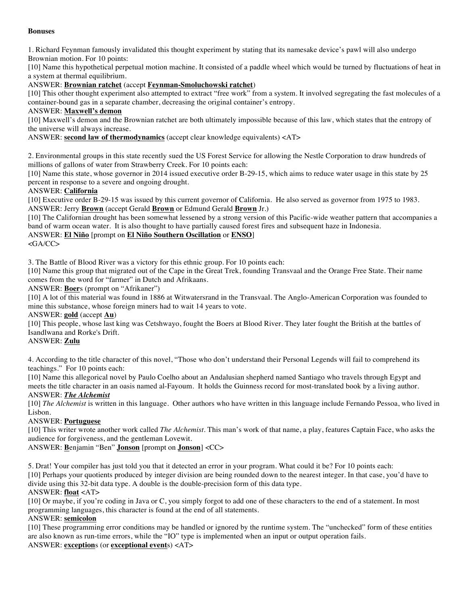#### **Bonuses**

1. Richard Feynman famously invalidated this thought experiment by stating that its namesake device's pawl will also undergo Brownian motion. For 10 points:

[10] Name this hypothetical perpetual motion machine. It consisted of a paddle wheel which would be turned by fluctuations of heat in a system at thermal equilibrium.

ANSWER: **Brownian ratchet** (accept **Feynman-Smoluchowski ratchet**)

[10] This other thought experiment also attempted to extract "free work" from a system. It involved segregating the fast molecules of a container-bound gas in a separate chamber, decreasing the original container's entropy.

#### ANSWER: **Maxwell's demon**

[10] Maxwell's demon and the Brownian ratchet are both ultimately impossible because of this law, which states that the entropy of the universe will always increase.

ANSWER: **second law of thermodynamics** (accept clear knowledge equivalents) <AT>

2. Environmental groups in this state recently sued the US Forest Service for allowing the Nestle Corporation to draw hundreds of millions of gallons of water from Strawberry Creek. For 10 points each:

[10] Name this state, whose governor in 2014 issued executive order B-29-15, which aims to reduce water usage in this state by 25 percent in response to a severe and ongoing drought.

#### ANSWER: **California**

[10] Executive order B-29-15 was issued by this current governor of California. He also served as governor from 1975 to 1983. ANSWER: Jerry **Brown** (accept Gerald **Brown** or Edmund Gerald **Brown** Jr.)

[10] The Californian drought has been somewhat lessened by a strong version of this Pacific-wide weather pattern that accompanies a band of warm ocean water. It is also thought to have partially caused forest fires and subsequent haze in Indonesia.

# ANSWER: **El Niño** [prompt on **El Niño Southern Oscillation** or **ENSO**]

<GA/CC>

3. The Battle of Blood River was a victory for this ethnic group. For 10 points each:

[10] Name this group that migrated out of the Cape in the Great Trek, founding Transvaal and the Orange Free State. Their name comes from the word for "farmer" in Dutch and Afrikaans.

ANSWER: **Boer**s (prompt on "Afrikaner")

[10] A lot of this material was found in 1886 at Witwatersrand in the Transvaal. The Anglo-American Corporation was founded to mine this substance, whose foreign miners had to wait 14 years to vote.

ANSWER: **gold** (accept **Au**)

[10] This people, whose last king was Cetshwayo, fought the Boers at Blood River. They later fought the British at the battles of Isandlwana and Rorke's Drift.

## ANSWER: **Zulu**

4. According to the title character of this novel, "Those who don't understand their Personal Legends will fail to comprehend its teachings." For 10 points each:

[10] Name this allegorical novel by Paulo Coelho about an Andalusian shepherd named Santiago who travels through Egypt and meets the title character in an oasis named al-Fayoum. It holds the Guinness record for most-translated book by a living author.

#### ANSWER: *The Alchemist*

[10] *The Alchemist* is written in this language. Other authors who have written in this language include Fernando Pessoa, who lived in Lisbon.

#### ANSWER: **Portuguese**

[10] This writer wrote another work called *The Alchemist*. This man's work of that name, a play, features Captain Face, who asks the audience for forgiveness, and the gentleman Lovewit.

ANSWER: **B**enjamin "Ben" **Jonson** [prompt on **Jonson**] <CC>

5. Drat! Your compiler has just told you that it detected an error in your program. What could it be? For 10 points each: [10] Perhaps your quotients produced by integer division are being rounded down to the nearest integer. In that case, you'd have to divide using this 32-bit data type. A double is the double-precision form of this data type.

## ANSWER: **float** <AT>

[10] Or maybe, if you're coding in Java or C, you simply forgot to add one of these characters to the end of a statement. In most programming languages, this character is found at the end of all statements.

## ANSWER: **semicolon**

[10] These programming error conditions may be handled or ignored by the runtime system. The "unchecked" form of these entities are also known as run-time errors, while the "IO" type is implemented when an input or output operation fails. ANSWER: **exception**s (or **exceptional event**s) <AT>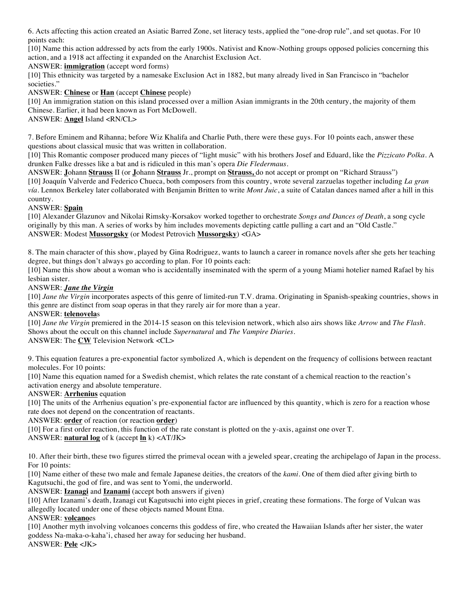6. Acts affecting this action created an Asiatic Barred Zone, set literacy tests, applied the "one-drop rule", and set quotas. For 10 points each:

[10] Name this action addressed by acts from the early 1900s. Nativist and Know-Nothing groups opposed policies concerning this action, and a 1918 act affecting it expanded on the Anarchist Exclusion Act.

ANSWER: **immigration** (accept word forms)

[10] This ethnicity was targeted by a namesake Exclusion Act in 1882, but many already lived in San Francisco in "bachelor societies."

ANSWER: **Chinese** or **Han** (accept **Chinese** people)

[10] An immigration station on this island processed over a million Asian immigrants in the 20th century, the majority of them Chinese. Earlier, it had been known as Fort McDowell.

ANSWER: **Angel** Island <RN/CL>

7. Before Eminem and Rihanna; before Wiz Khalifa and Charlie Puth, there were these guys. For 10 points each, answer these questions about classical music that was written in collaboration.

[10] This Romantic composer produced many pieces of "light music" with his brothers Josef and Eduard, like the *Pizzicato Polka*. A drunken Falke dresses like a bat and is ridiculed in this man's opera *Die Fledermaus*.

ANSWER: **J**ohann **Strauss** II (or **J**ohann **Strauss** Jr., prompt on **Strauss,** do not accept or prompt on "Richard Strauss") [10] Joaquín Valverde and Federico Chueca, both composers from this country, wrote several zarzuelas together including *La gran vía*. Lennox Berkeley later collaborated with Benjamin Britten to write *Mont Juic*, a suite of Catalan dances named after a hill in this country.

## ANSWER: **Spain**

[10] Alexander Glazunov and Nikolai Rimsky-Korsakov worked together to orchestrate *Songs and Dances of Death*, a song cycle originally by this man. A series of works by him includes movements depicting cattle pulling a cart and an "Old Castle." ANSWER: Modest **Mussorgsky** (or Modest Petrovich **Mussorgsky**) <GA>

8. The main character of this show, played by Gina Rodriguez, wants to launch a career in romance novels after she gets her teaching degree, but things don't always go according to plan. For 10 points each:

[10] Name this show about a woman who is accidentally inseminated with the sperm of a young Miami hotelier named Rafael by his lesbian sister.

## ANSWER: *Jane the Virgin*

[10] *Jane the Virgin* incorporates aspects of this genre of limited-run T.V. drama. Originating in Spanish-speaking countries, shows in this genre are distinct from soap operas in that they rarely air for more than a year.

#### ANSWER: **telenovela**s

[10] *Jane the Virgin* premiered in the 2014-15 season on this television network, which also airs shows like *Arrow* and *The Flash*. Shows about the occult on this channel include *Supernatural* and *The Vampire Diaries*. ANSWER: The **CW** Television Network <CL>

9. This equation features a pre-exponential factor symbolized A, which is dependent on the frequency of collisions between reactant molecules. For 10 points:

[10] Name this equation named for a Swedish chemist, which relates the rate constant of a chemical reaction to the reaction's activation energy and absolute temperature.

#### ANSWER: **Arrhenius** equation

[10] The units of the Arrhenius equation's pre-exponential factor are influenced by this quantity, which is zero for a reaction whose rate does not depend on the concentration of reactants.

ANSWER: **order** of reaction (or reaction **order**)

[10] For a first order reaction, this function of the rate constant is plotted on the y-axis, against one over T.

ANSWER: **natural log** of k (accept **ln** k) <AT/JK>

10. After their birth, these two figures stirred the primeval ocean with a jeweled spear, creating the archipelago of Japan in the process. For 10 points:

[10] Name either of these two male and female Japanese deities, the creators of the *kami*. One of them died after giving birth to Kagutsuchi, the god of fire, and was sent to Yomi, the underworld.

ANSWER: **Izanagi** and **Izanami** (accept both answers if given)

[10] After Izanami's death, Izanagi cut Kagutsuchi into eight pieces in grief, creating these formations. The forge of Vulcan was allegedly located under one of these objects named Mount Etna.

#### ANSWER: **volcano**es

[10] Another myth involving volcanoes concerns this goddess of fire, who created the Hawaiian Islands after her sister, the water goddess Na-maka-o-kaha'i, chased her away for seducing her husband. ANSWER: **Pele** <JK>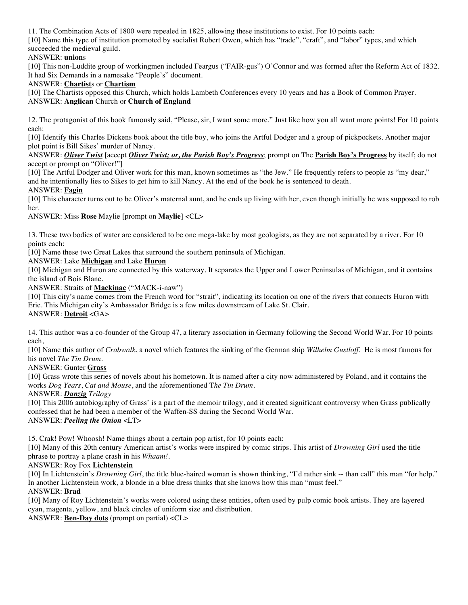11. The Combination Acts of 1800 were repealed in 1825, allowing these institutions to exist. For 10 points each: [10] Name this type of institution promoted by socialist Robert Owen, which has "trade", "craft", and "labor" types, and which succeeded the medieval guild.

## ANSWER: **union**s

[10] This non-Luddite group of workingmen included Feargus ("FAIR-gus") O'Connor and was formed after the Reform Act of 1832. It had Six Demands in a namesake "People's" document.

#### ANSWER: **Chartist**s or **Chartism**

[10] The Chartists opposed this Church, which holds Lambeth Conferences every 10 years and has a Book of Common Prayer. ANSWER: **Anglican** Church or **Church of England**

12. The protagonist of this book famously said, "Please, sir, I want some more." Just like how you all want more points! For 10 points each:

[10] Identify this Charles Dickens book about the title boy, who joins the Artful Dodger and a group of pickpockets. Another major plot point is Bill Sikes' murder of Nancy.

ANSWER: *Oliver Twist* [accept *Oliver Twist; or, the Parish Boy's Progress*; prompt on The **Parish Boy's Progress** by itself; do not accept or prompt on "Oliver!"]

[10] The Artful Dodger and Oliver work for this man, known sometimes as "the Jew." He frequently refers to people as "my dear," and he intentionally lies to Sikes to get him to kill Nancy. At the end of the book he is sentenced to death.

#### ANSWER: **Fagin**

[10] This character turns out to be Oliver's maternal aunt, and he ends up living with her, even though initially he was supposed to rob her.

ANSWER: Miss **Rose** Maylie [prompt on **Maylie**] <CL>

13. These two bodies of water are considered to be one mega-lake by most geologists, as they are not separated by a river. For 10 points each:

[10] Name these two Great Lakes that surround the southern peninsula of Michigan.

ANSWER: Lake **Michigan** and Lake **Huron**

[10] Michigan and Huron are connected by this waterway. It separates the Upper and Lower Peninsulas of Michigan, and it contains the island of Bois Blanc.

ANSWER: Straits of **Mackinac** ("MACK-i-naw")

[10] This city's name comes from the French word for "strait", indicating its location on one of the rivers that connects Huron with Erie. This Michigan city's Ambassador Bridge is a few miles downstream of Lake St. Clair. ANSWER: **Detroit** <GA>

14. This author was a co-founder of the Group 47, a literary association in Germany following the Second World War. For 10 points each,

[10] Name this author of *Crabwalk*, a novel which features the sinking of the German ship *Wilhelm Gustloff*. He is most famous for his novel *The Tin Drum*.

ANSWER: Gunter **Grass**

[10] Grass wrote this series of novels about his hometown. It is named after a city now administered by Poland, and it contains the works *Dog Years*, *Cat and Mouse*, and the aforementioned T*he Tin Drum*.

ANSWER: *Danzig Trilogy*

[10] This 2006 autobiography of Grass' is a part of the memoir trilogy, and it created significant controversy when Grass publically confessed that he had been a member of the Waffen-SS during the Second World War. ANSWER: *Peeling the Onion* <LT>

15. Crak! Pow! Whoosh! Name things about a certain pop artist, for 10 points each:

[10] Many of this 20th century American artist's works were inspired by comic strips. This artist of *Drowning Girl* used the title phrase to portray a plane crash in his *Whaam!*.

#### ANSWER: Roy Fox **Lichtenstein**

[10] In Lichtenstein's *Drowning Girl*, the title blue-haired woman is shown thinking, "I'd rather sink -- than call" this man "for help." In another Lichtenstein work, a blonde in a blue dress thinks that she knows how this man "must feel."

ANSWER: **Brad**

[10] Many of Roy Lichtenstein's works were colored using these entities, often used by pulp comic book artists. They are layered cyan, magenta, yellow, and black circles of uniform size and distribution.

ANSWER: **Ben-Day dots** (prompt on partial) <CL>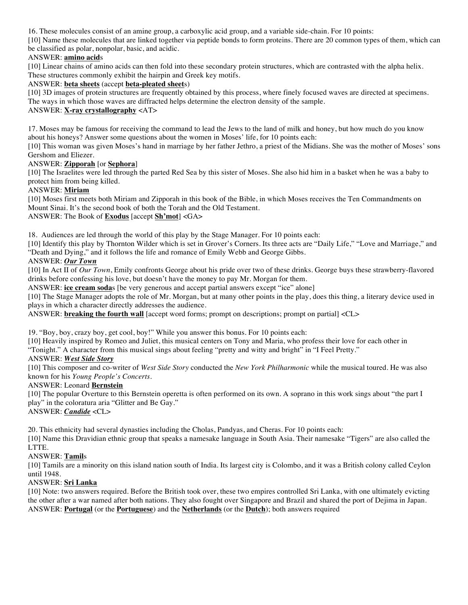16. These molecules consist of an amine group, a carboxylic acid group, and a variable side-chain. For 10 points:

[10] Name these molecules that are linked together via peptide bonds to form proteins. There are 20 common types of them, which can be classified as polar, nonpolar, basic, and acidic.

## ANSWER: **amino acid**s

[10] Linear chains of amino acids can then fold into these secondary protein structures, which are contrasted with the alpha helix. These structures commonly exhibit the hairpin and Greek key motifs.

## ANSWER: **beta sheets** (accept **beta-pleated sheet**s)

[10] 3D images of protein structures are frequently obtained by this process, where finely focused waves are directed at specimens. The ways in which those waves are diffracted helps determine the electron density of the sample.

## ANSWER: **X-ray crystallography** <AT>

17. Moses may be famous for receiving the command to lead the Jews to the land of milk and honey, but how much do you know about his honeys? Answer some questions about the women in Moses' life, for 10 points each:

[10] This woman was given Moses's hand in marriage by her father Jethro, a priest of the Midians. She was the mother of Moses' sons Gershom and Eliezer.

## ANSWER: **Zipporah** [or **Sephora**]

[10] The Israelites were led through the parted Red Sea by this sister of Moses. She also hid him in a basket when he was a baby to protect him from being killed.

## ANSWER: **Miriam**

[10] Moses first meets both Miriam and Zipporah in this book of the Bible, in which Moses receives the Ten Commandments on Mount Sinai. It's the second book of both the Torah and the Old Testament.

## ANSWER: The Book of **Exodus** [accept **Sh'mot**] <GA>

18. Audiences are led through the world of this play by the Stage Manager. For 10 points each:

[10] Identify this play by Thornton Wilder which is set in Grover's Corners. Its three acts are "Daily Life," "Love and Marriage," and "Death and Dying," and it follows the life and romance of Emily Webb and George Gibbs.

## ANSWER: *Our Town*

[10] In Act II of *Our Town*, Emily confronts George about his pride over two of these drinks. George buys these strawberry-flavored drinks before confessing his love, but doesn't have the money to pay Mr. Morgan for them.

ANSWER: **ice cream soda**s [be very generous and accept partial answers except "ice" alone]

[10] The Stage Manager adopts the role of Mr. Morgan, but at many other points in the play, does this thing, a literary device used in plays in which a character directly addresses the audience.

ANSWER: **breaking the fourth wall** [accept word forms; prompt on descriptions; prompt on partial] <CL>

19. "Boy, boy, crazy boy, get cool, boy!" While you answer this bonus. For 10 points each:

[10] Heavily inspired by Romeo and Juliet, this musical centers on Tony and Maria, who profess their love for each other in

"Tonight." A character from this musical sings about feeling "pretty and witty and bright" in "I Feel Pretty."

#### ANSWER: *West Side Story*

[10] This composer and co-writer of *West Side Story* conducted the *New York Philharmonic* while the musical toured. He was also known for his *Young People's Concerts*.

#### ANSWER: Leonard **Bernstein**

[10] The popular Overture to this Bernstein operetta is often performed on its own. A soprano in this work sings about "the part I play" in the coloratura aria "Glitter and Be Gay."

ANSWER: *Candide* <CL>

20. This ethnicity had several dynasties including the Cholas, Pandyas, and Cheras. For 10 points each:

[10] Name this Dravidian ethnic group that speaks a namesake language in South Asia. Their namesake "Tigers" are also called the LTTE.

## ANSWER: **Tamil**s

[10] Tamils are a minority on this island nation south of India. Its largest city is Colombo, and it was a British colony called Ceylon until 1948.

#### ANSWER: **Sri Lanka**

[10] Note: two answers required. Before the British took over, these two empires controlled Sri Lanka, with one ultimately evicting the other after a war named after both nations. They also fought over Singapore and Brazil and shared the port of Dejima in Japan. ANSWER: **Portugal** (or the **Portuguese**) and the **Netherlands** (or the **Dutch**); both answers required